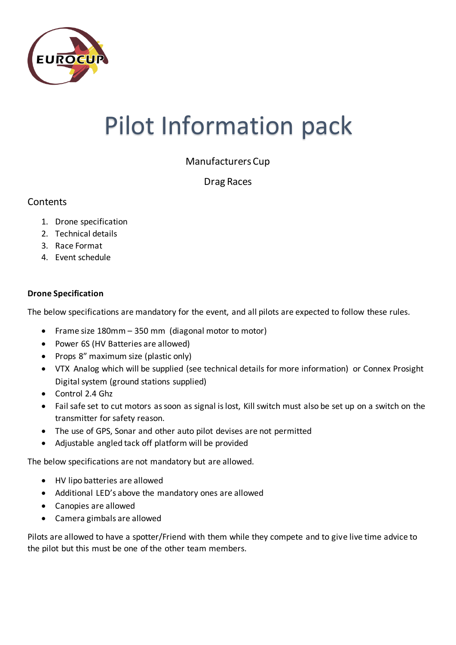

## Pilot Information pack

Manufacturers Cup

Drag Races

## **Contents**

- 1. Drone specification
- 2. Technical details
- 3. Race Format
- 4. Event schedule

## **Drone Specification**

The below specifications are mandatory for the event, and all pilots are expected to follow these rules.

- Frame size 180mm 350 mm (diagonal motor to motor)
- Power 6S (HV Batteries are allowed)
- Props 8" maximum size (plastic only)
- VTX Analog which will be supplied (see technical details for more information) or Connex Prosight Digital system (ground stations supplied)
- Control 2.4 Ghz
- Fail safe set to cut motors as soon as signal is lost, Kill switch must also be set up on a switch on the transmitter for safety reason.
- The use of GPS, Sonar and other auto pilot devises are not permitted
- Adjustable angled tack off platform will be provided

The below specifications are not mandatory but are allowed.

- HV lipo batteries are allowed
- Additional LED's above the mandatory ones are allowed
- Canopies are allowed
- Camera gimbals are allowed

Pilots are allowed to have a spotter/Friend with them while they compete and to give live time advice to the pilot but this must be one of the other team members.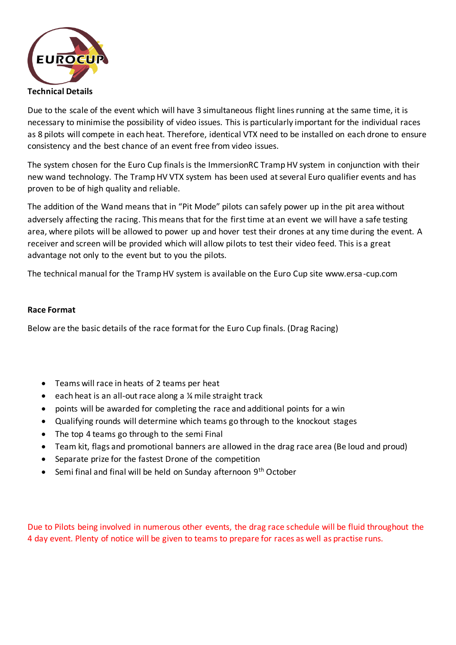

Due to the scale of the event which will have 3 simultaneous flight lines running at the same time, it is necessary to minimise the possibility of video issues. This is particularly important for the individual races as 8 pilots will compete in each heat. Therefore, identical VTX need to be installed on each drone to ensure consistency and the best chance of an event free from video issues.

The system chosen for the Euro Cup finals is the ImmersionRC Tramp HV system in conjunction with their new wand technology. The Tramp HV VTX system has been used at several Euro qualifier events and has proven to be of high quality and reliable.

The addition of the Wand means that in "Pit Mode" pilots can safely power up in the pit area without adversely affecting the racing. This means that for the first time at an event we will have a safe testing area, where pilots will be allowed to power up and hover test their drones at any time during the event. A receiver and screen will be provided which will allow pilots to test their video feed. This is a great advantage not only to the event but to you the pilots.

The technical manual for the Tramp HV system is available on the Euro Cup site www.ersa-cup.com

## **Race Format**

Below are the basic details of the race format for the Euro Cup finals. (Drag Racing)

- Teams will race in heats of 2 teams per heat
- $\bullet$  each heat is an all-out race along a  $\frac{1}{4}$  mile straight track
- points will be awarded for completing the race and additional points for a win
- Qualifying rounds will determine which teams go through to the knockout stages
- The top 4 teams go through to the semi Final
- Team kit, flags and promotional banners are allowed in the drag race area (Be loud and proud)
- Separate prize for the fastest Drone of the competition
- Semi final and final will be held on Sunday afternoon 9<sup>th</sup> October

Due to Pilots being involved in numerous other events, the drag race schedule will be fluid throughout the 4 day event. Plenty of notice will be given to teams to prepare for races as well as practise runs.